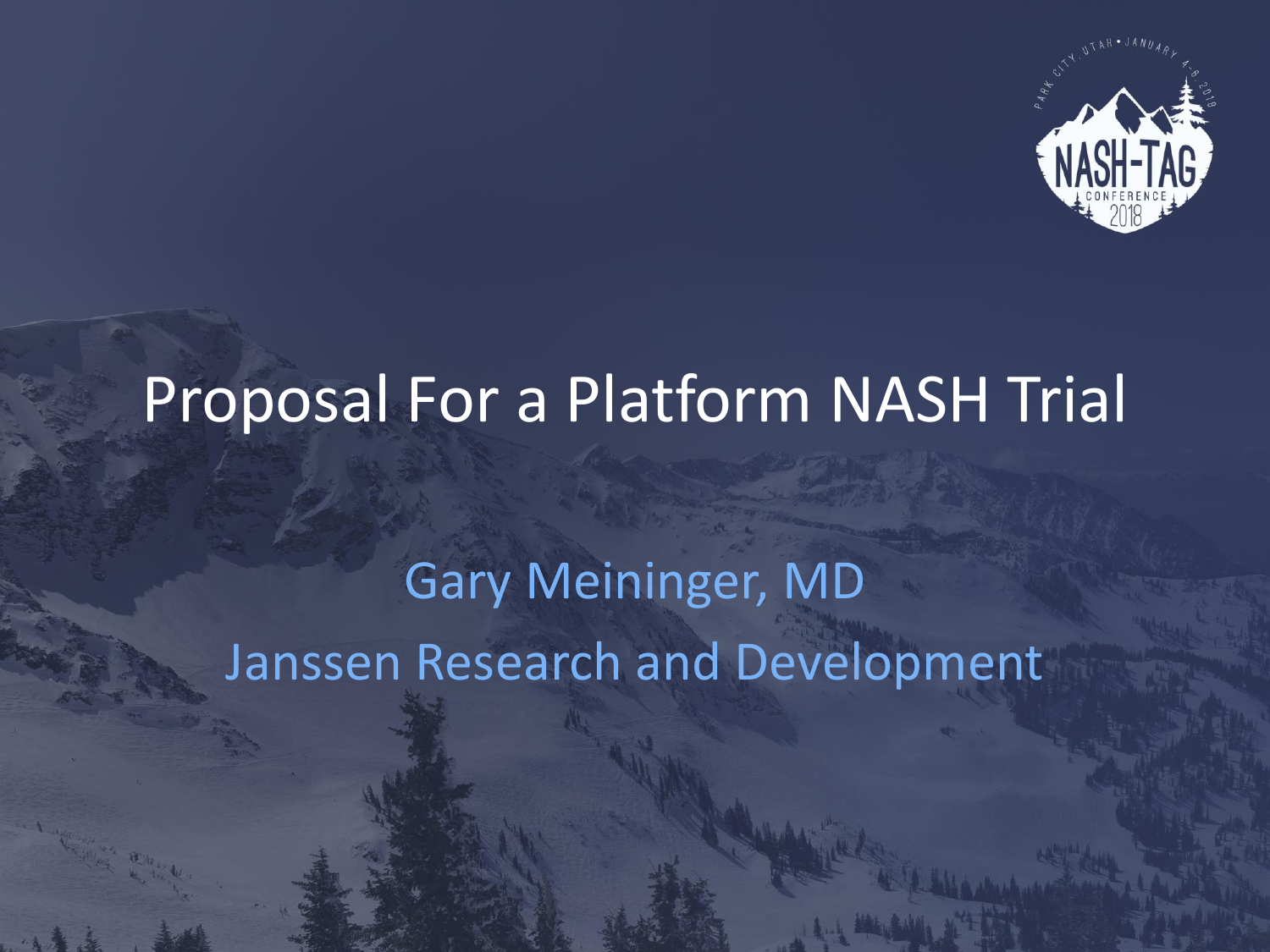

# Proposal For a Platform NASH Trial

# Gary Meininger, MD Janssen Research and Development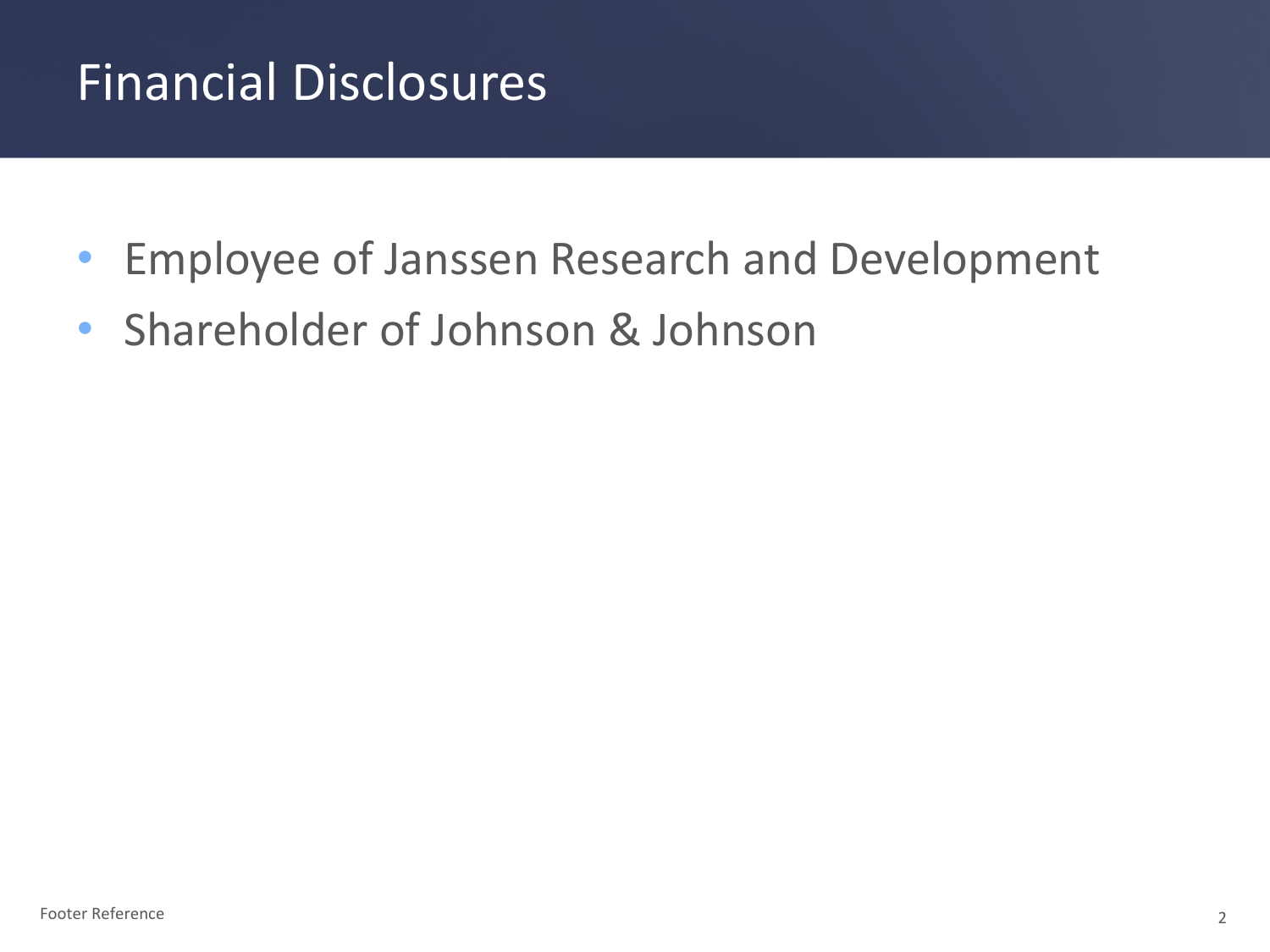## Financial Disclosures

- Employee of Janssen Research and Development
- Shareholder of Johnson & Johnson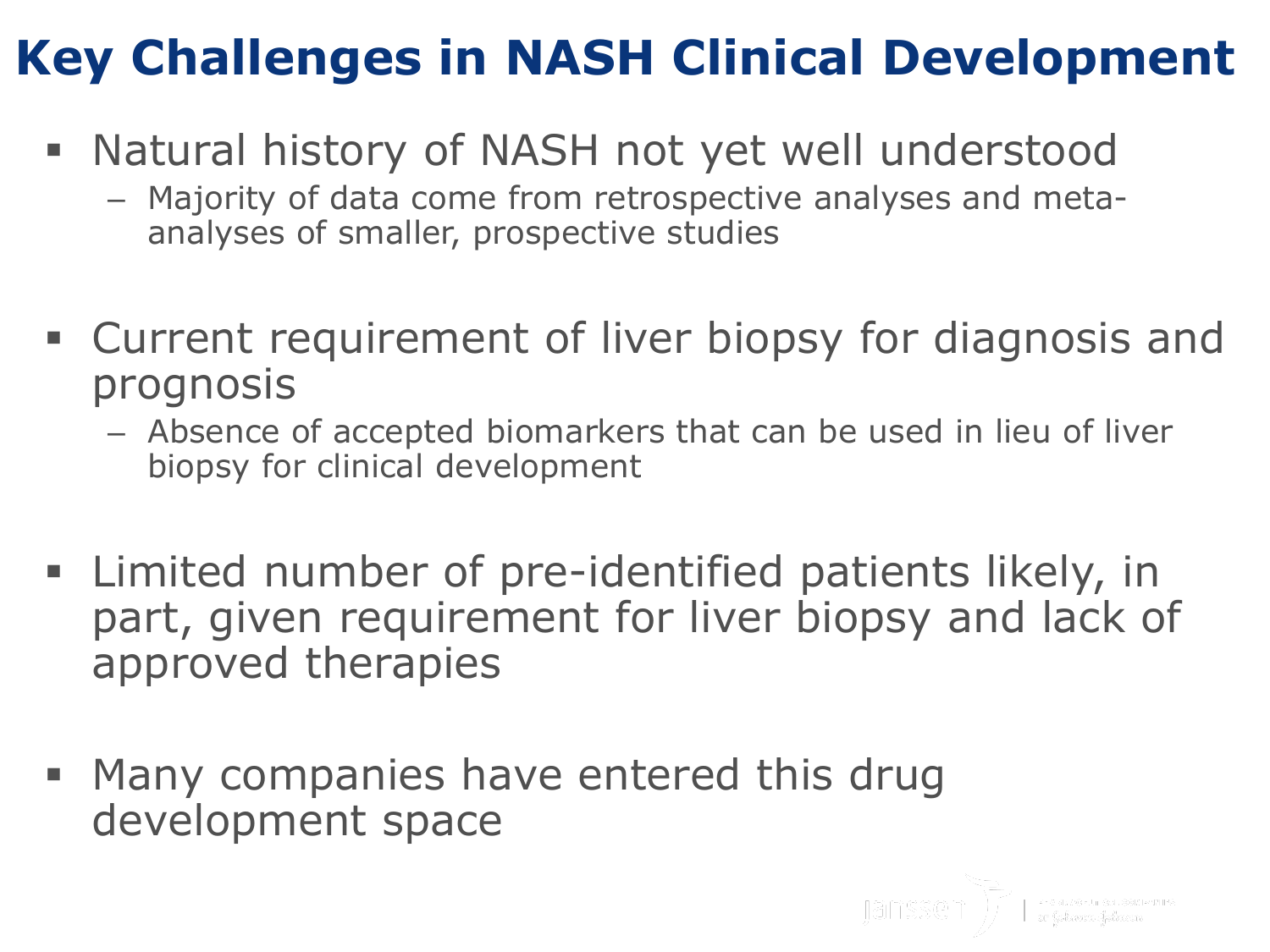## **Key Challenges in NASH Clinical Development**

- Natural history of NASH not yet well understood
	- Majority of data come from retrospective analyses and metaanalyses of smaller, prospective studies
- Current requirement of liver biopsy for diagnosis and prognosis
	- Absence of accepted biomarkers that can be used in lieu of liver biopsy for clinical development
- Limited number of pre-identified patients likely, in part, given requirement for liver biopsy and lack of approved therapies
- **Many companies have entered this drug** development space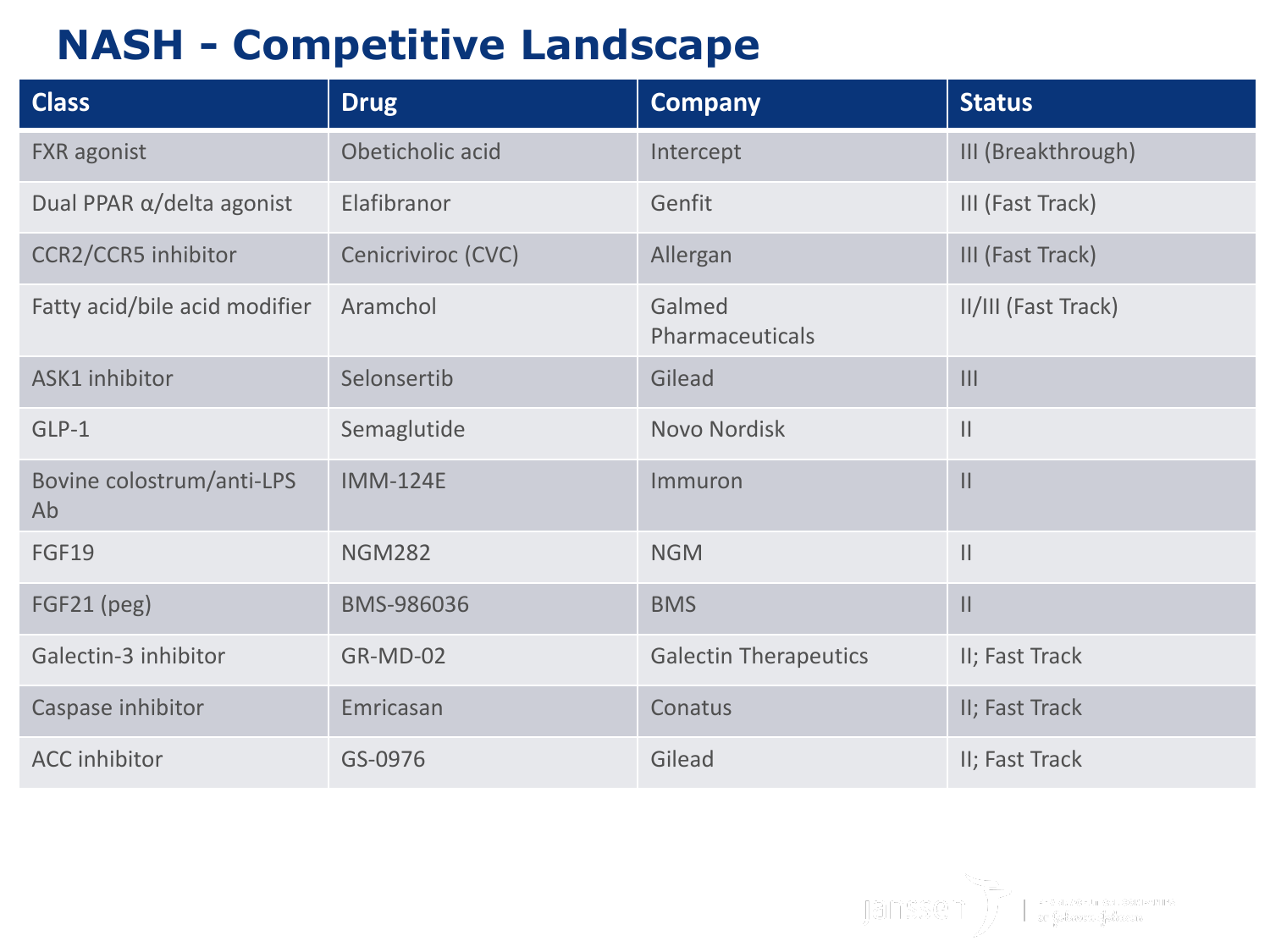### **NASH - Competitive Landscape**

| <b>Class</b>                      | <b>Drug</b>        | <b>Company</b>               | <b>Status</b>       |
|-----------------------------------|--------------------|------------------------------|---------------------|
| <b>FXR</b> agonist                | Obeticholic acid   | Intercept                    | III (Breakthrough)  |
| Dual PPAR $\alpha$ /delta agonist | Elafibranor        | Genfit                       | III (Fast Track)    |
| CCR2/CCR5 inhibitor               | Cenicriviroc (CVC) | Allergan                     | III (Fast Track)    |
| Fatty acid/bile acid modifier     | Aramchol           | Galmed<br>Pharmaceuticals    | II/III (Fast Track) |
| ASK1 inhibitor                    | Selonsertib        | Gilead                       | $\mathbf{III}$      |
| GLP-1                             | Semaglutide        | Novo Nordisk                 | $\mathbf{  }$       |
| Bovine colostrum/anti-LPS<br>Ab   | <b>IMM-124E</b>    | Immuron                      | $\mathsf{II}$       |
| <b>FGF19</b>                      | <b>NGM282</b>      | <b>NGM</b>                   | $\mathbf{  }$       |
| FGF21 (peg)                       | BMS-986036         | <b>BMS</b>                   | $\mathsf{II}$       |
| Galectin-3 inhibitor              | GR-MD-02           | <b>Galectin Therapeutics</b> | II; Fast Track      |
| Caspase inhibitor                 | Emricasan          | Conatus                      | II; Fast Track      |
| <b>ACC</b> inhibitor              | GS-0976            | Gilead                       | II; Fast Track      |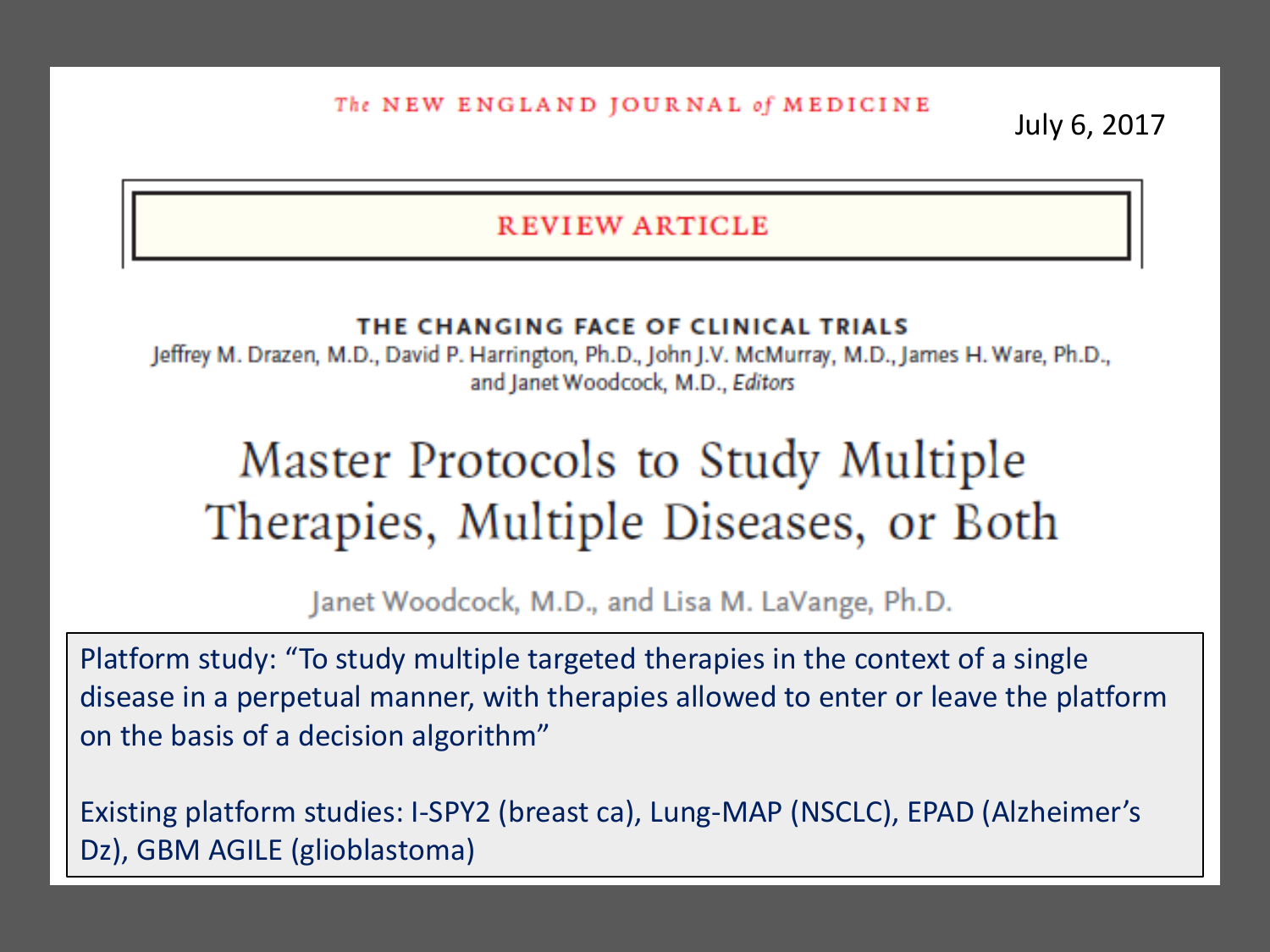The NEW ENGLAND JOURNAL of MEDICINE

July 6, 2017

#### **REVIEW ARTICLE**

#### THE CHANGING FACE OF CLINICAL TRIALS

Jeffrey M. Drazen, M.D., David P. Harrington, Ph.D., John J.V. McMurray, M.D., James H. Ware, Ph.D., and Janet Woodcock, M.D., Editors

## Master Protocols to Study Multiple Therapies, Multiple Diseases, or Both

Janet Woodcock, M.D., and Lisa M. LaVange, Ph.D.

Platform study: "To study multiple targeted therapies in the context of a single disease in a perpetual manner, with therapies allowed to enter or leave the platform on the basis of a decision algorithm"

Existing platform studies: I-SPY2 (breast ca), Lung-MAP (NSCLC), EPAD (Alzheimer's Dz), GBM AGILE (glioblastoma)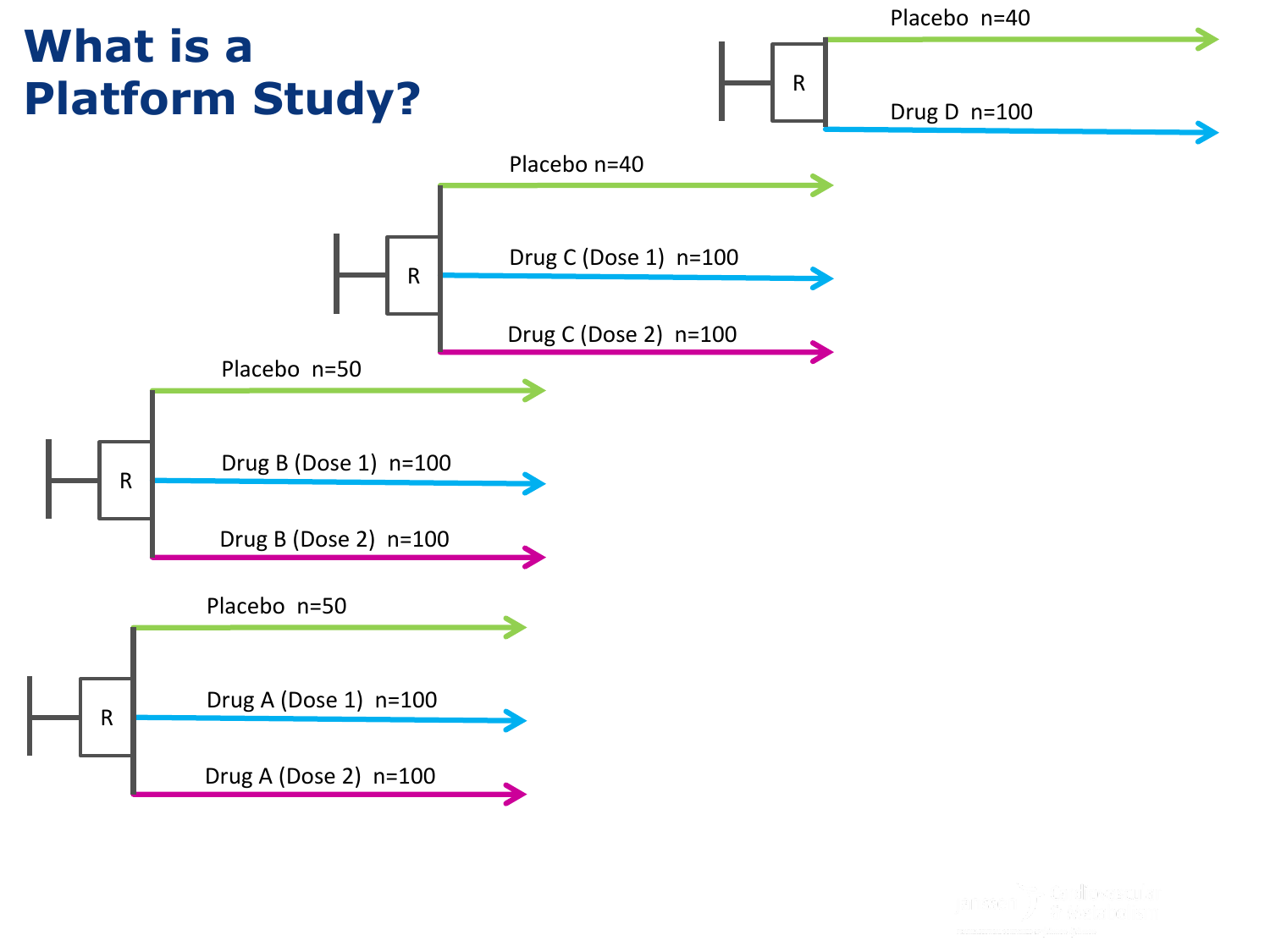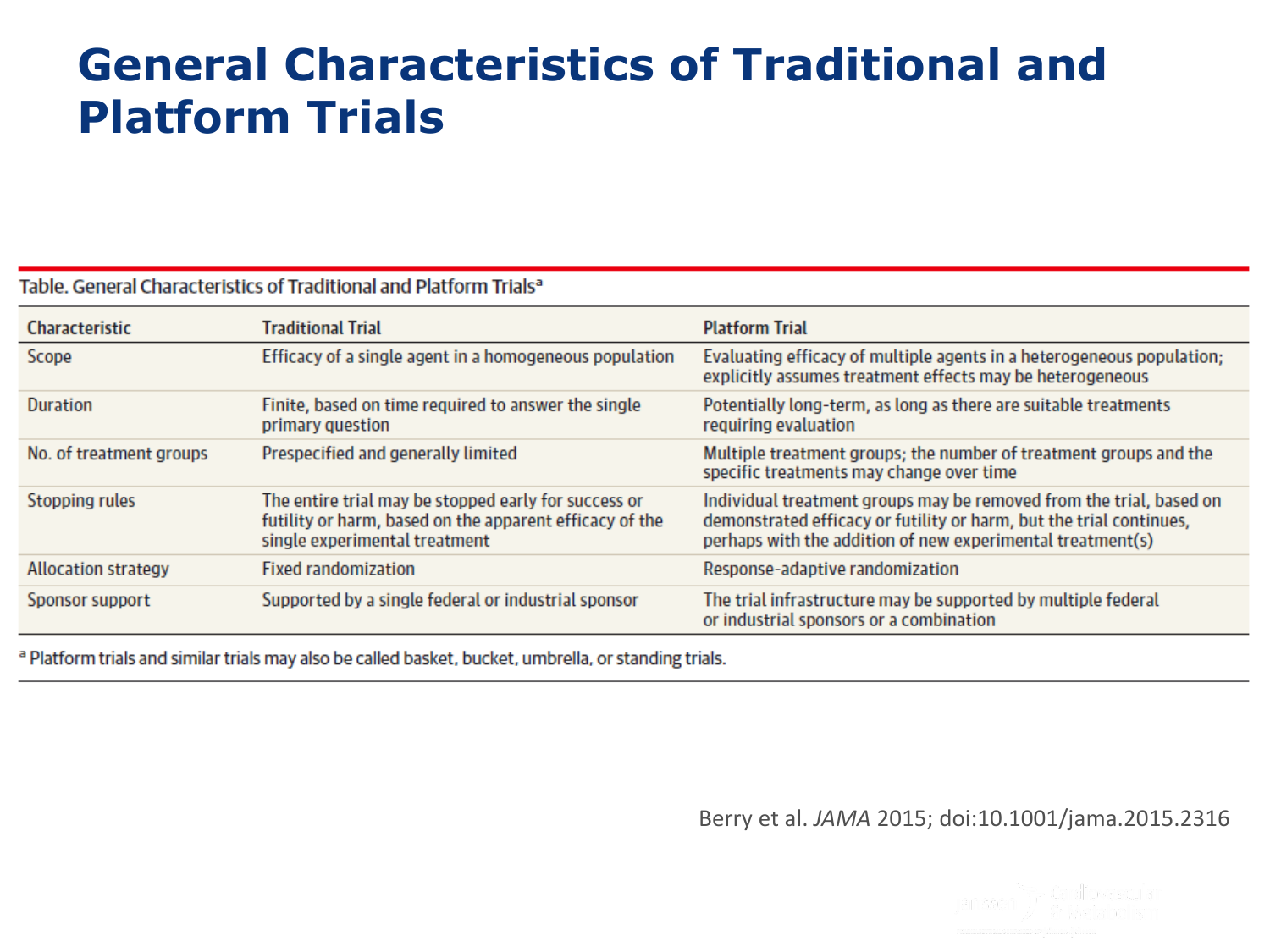### **General Characteristics of Traditional and Platform Trials**

#### Table. General Characteristics of Traditional and Platform Trials<sup>a</sup>

| <b>Characteristic</b>      | Traditional Trial                                                                                                                                | <b>Platform Trial</b>                                                                                                                                                                                    |
|----------------------------|--------------------------------------------------------------------------------------------------------------------------------------------------|----------------------------------------------------------------------------------------------------------------------------------------------------------------------------------------------------------|
| Scope                      | Efficacy of a single agent in a homogeneous population                                                                                           | Evaluating efficacy of multiple agents in a heterogeneous population;<br>explicitly assumes treatment effects may be heterogeneous                                                                       |
| <b>Duration</b>            | Finite, based on time required to answer the single<br>primary question                                                                          | Potentially long-term, as long as there are suitable treatments<br>requiring evaluation                                                                                                                  |
| No. of treatment groups    | Prespecified and generally limited                                                                                                               | Multiple treatment groups; the number of treatment groups and the<br>specific treatments may change over time                                                                                            |
| Stopping rules             | The entire trial may be stopped early for success or<br>futility or harm, based on the apparent efficacy of the<br>single experimental treatment | Individual treatment groups may be removed from the trial, based on<br>demonstrated efficacy or futility or harm, but the trial continues,<br>perhaps with the addition of new experimental treatment(s) |
| <b>Allocation strategy</b> | <b>Fixed randomization</b>                                                                                                                       | Response-adaptive randomization                                                                                                                                                                          |
| Sponsor support            | Supported by a single federal or industrial sponsor                                                                                              | The trial infrastructure may be supported by multiple federal<br>or industrial sponsors or a combination                                                                                                 |

<sup>a</sup> Platform trials and similar trials may also be called basket, bucket, umbrella, or standing trials.

Berry et al. *JAMA* 2015; doi:10.1001/jama.2015.2316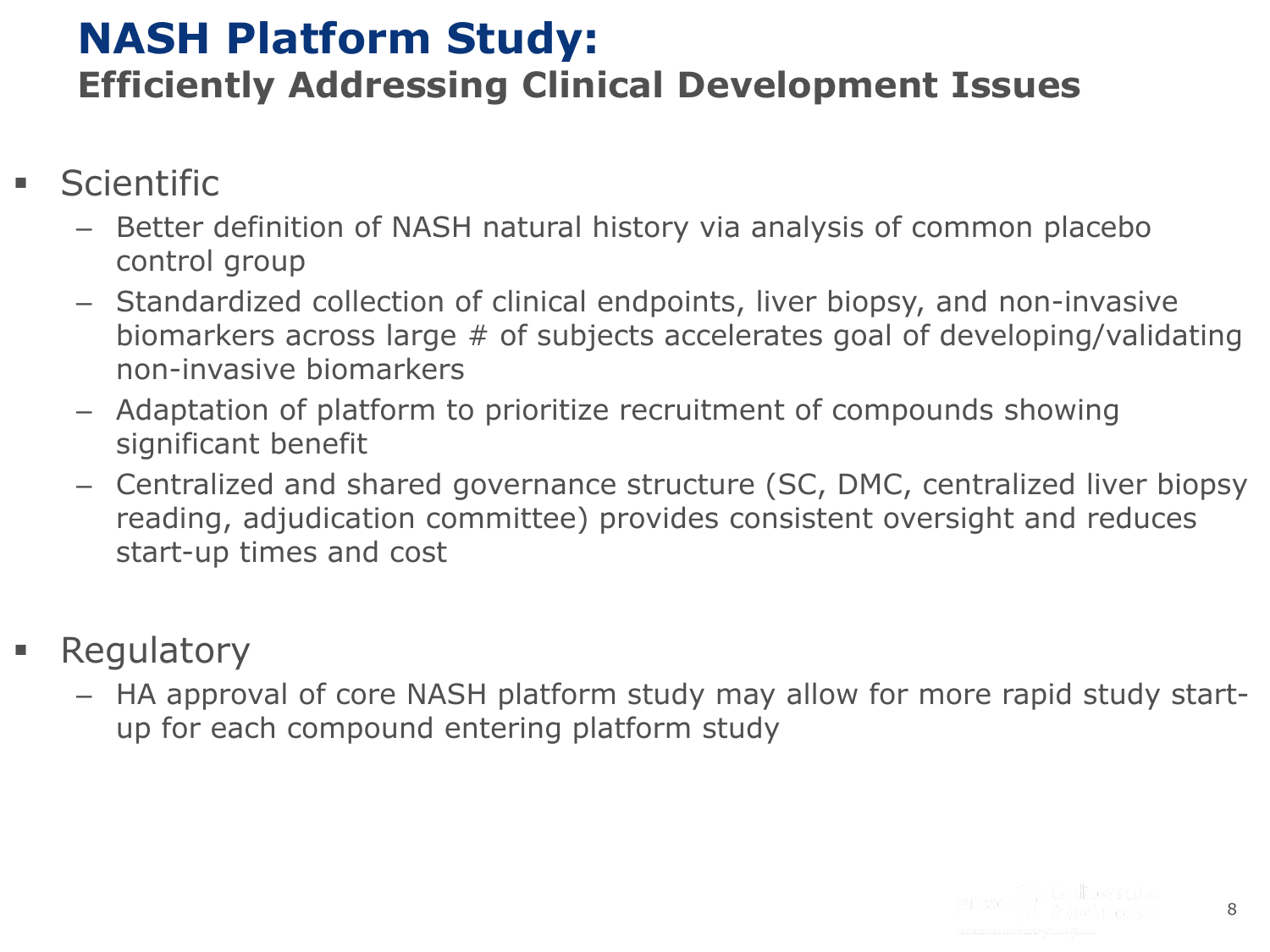#### **NASH Platform Study: Efficiently Addressing Clinical Development Issues**

- **Scientific** 
	- Better definition of NASH natural history via analysis of common placebo control group
	- Standardized collection of clinical endpoints, liver biopsy, and non-invasive biomarkers across large # of subjects accelerates goal of developing/validating non-invasive biomarkers
	- Adaptation of platform to prioritize recruitment of compounds showing significant benefit
	- Centralized and shared governance structure (SC, DMC, centralized liver biopsy reading, adjudication committee) provides consistent oversight and reduces start-up times and cost
- **Regulatory** 
	- HA approval of core NASH platform study may allow for more rapid study startup for each compound entering platform study

8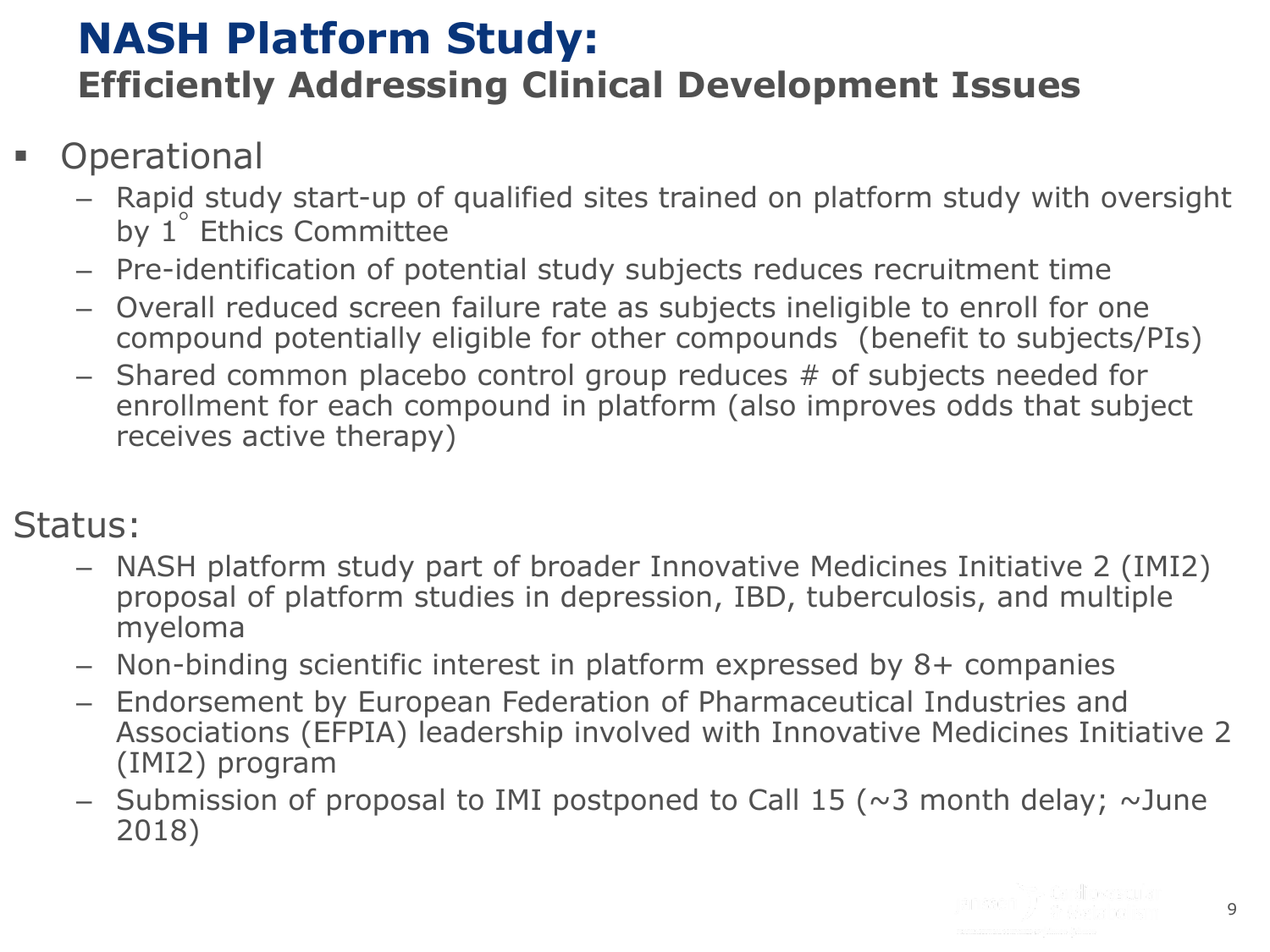### **NASH Platform Study: Efficiently Addressing Clinical Development Issues**

#### **Operational**

- Rapid study start-up of qualified sites trained on platform study with oversight by 1 ◦ Ethics Committee
- Pre-identification of potential study subjects reduces recruitment time
- Overall reduced screen failure rate as subjects ineligible to enroll for one compound potentially eligible for other compounds (benefit to subjects/PIs)
- Shared common placebo control group reduces # of subjects needed for enrollment for each compound in platform (also improves odds that subject receives active therapy)

#### Status:

- NASH platform study part of broader Innovative Medicines Initiative 2 (IMI2) proposal of platform studies in depression, IBD, tuberculosis, and multiple myeloma
- Non-binding scientific interest in platform expressed by 8+ companies
- Endorsement by European Federation of Pharmaceutical Industries and Associations (EFPIA) leadership involved with Innovative Medicines Initiative 2 (IMI2) program
- Submission of proposal to IMI postponed to Call 15 ( $\sim$ 3 month delay;  $\sim$ June 2018)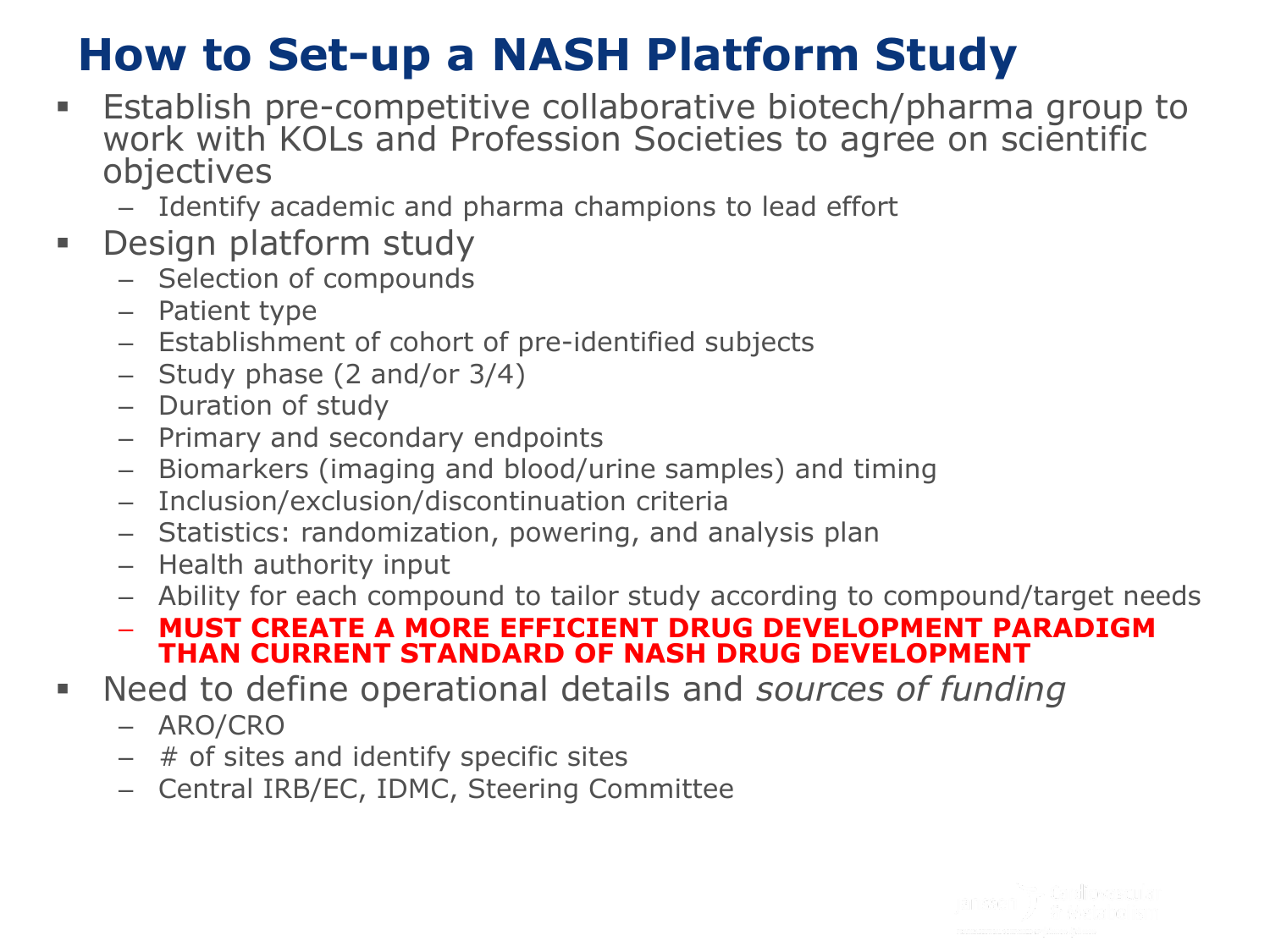## **How to Set-up a NASH Platform Study**

- Establish pre-competitive collaborative biotech/pharma group to work with KOLs and Profession Societies to agree on scientific objectives
	- Identify academic and pharma champions to lead effort
- **-** Design platform study
	- Selection of compounds
	- Patient type
	- Establishment of cohort of pre-identified subjects
	- Study phase (2 and/or 3/4)
	- Duration of study
	- Primary and secondary endpoints
	- Biomarkers (imaging and blood/urine samples) and timing
	- Inclusion/exclusion/discontinuation criteria
	- Statistics: randomization, powering, and analysis plan
	- Health authority input
	- Ability for each compound to tailor study according to compound/target needs
	- **MUST CREATE A MORE EFFICIENT DRUG DEVELOPMENT PARADIGM THAN CURRENT STANDARD OF NASH DRUG DEVELOPMENT**
- Need to define operational details and *sources of funding*
	- ARO/CRO
	- $-$  # of sites and identify specific sites
	- Central IRB/EC, IDMC, Steering Committee